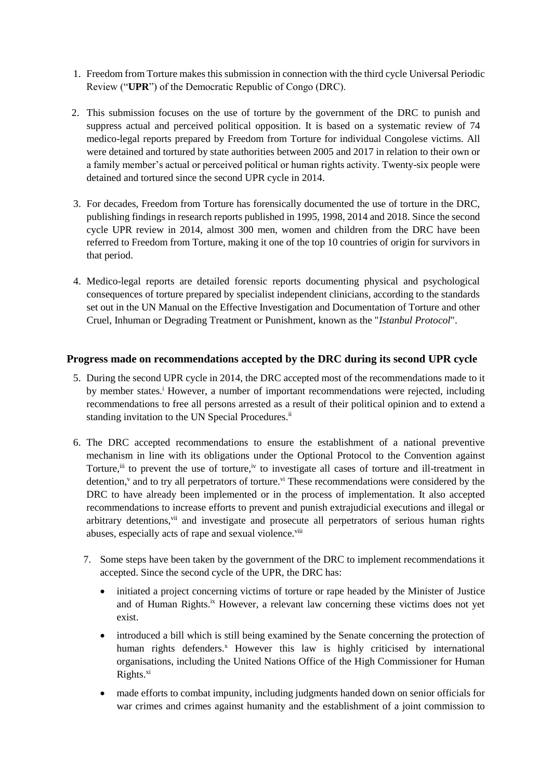- 1. Freedom from Torture makes this submission in connection with the third cycle Universal Periodic Review ("**UPR**") of the Democratic Republic of Congo (DRC).
- 2. This submission focuses on the use of torture by the government of the DRC to punish and suppress actual and perceived political opposition. It is based on a systematic review of 74 medico-legal reports prepared by Freedom from Torture for individual Congolese victims. All were detained and tortured by state authorities between 2005 and 2017 in relation to their own or a family member's actual or perceived political or human rights activity. Twenty-six people were detained and tortured since the second UPR cycle in 2014.
- 3. For decades, Freedom from Torture has forensically documented the use of torture in the DRC, publishing findings in research reports published in 1995, 1998, 2014 and 2018. Since the second cycle UPR review in 2014, almost 300 men, women and children from the DRC have been referred to Freedom from Torture, making it one of the top 10 countries of origin for survivors in that period.
- 4. Medico-legal reports are detailed forensic reports documenting physical and psychological consequences of torture prepared by specialist independent clinicians, according to the standards set out in the UN Manual on the Effective Investigation and Documentation of Torture and other Cruel, Inhuman or Degrading Treatment or Punishment, known as the "*Istanbul Protocol*".

# **Progress made on recommendations accepted by the DRC during its second UPR cycle**

- 5. During the second UPR cycle in 2014, the DRC accepted most of the recommendations made to it by member states.<sup>i</sup> However, a number of important recommendations were rejected, including recommendations to free all persons arrested as a result of their political opinion and to extend a standing invitation to the UN Special Procedures.<sup>ii</sup>
- 6. The DRC accepted recommendations to ensure the establishment of a national preventive mechanism in line with its obligations under the Optional Protocol to the Convention against Torture,<sup>iii</sup> to prevent the use of torture,<sup>iv</sup> to investigate all cases of torture and ill-treatment in detention,<sup>v</sup> and to try all perpetrators of torture.<sup>vi</sup> These recommendations were considered by the DRC to have already been implemented or in the process of implementation. It also accepted recommendations to increase efforts to prevent and punish extrajudicial executions and illegal or arbitrary detentions,<sup>vii</sup> and investigate and prosecute all perpetrators of serious human rights abuses, especially acts of rape and sexual violence.<sup>viii</sup>
	- 7. Some steps have been taken by the government of the DRC to implement recommendations it accepted. Since the second cycle of the UPR, the DRC has:
		- initiated a project concerning victims of torture or rape headed by the Minister of Justice and of Human Rights.ix However, a relevant law concerning these victims does not yet exist.
		- introduced a bill which is still being examined by the Senate concerning the protection of human rights defenders.<sup>x</sup> However this law is highly criticised by international organisations, including the United Nations Office of the High Commissioner for Human Rights.<sup>xi</sup>
		- made efforts to combat impunity, including judgments handed down on senior officials for war crimes and crimes against humanity and the establishment of a joint commission to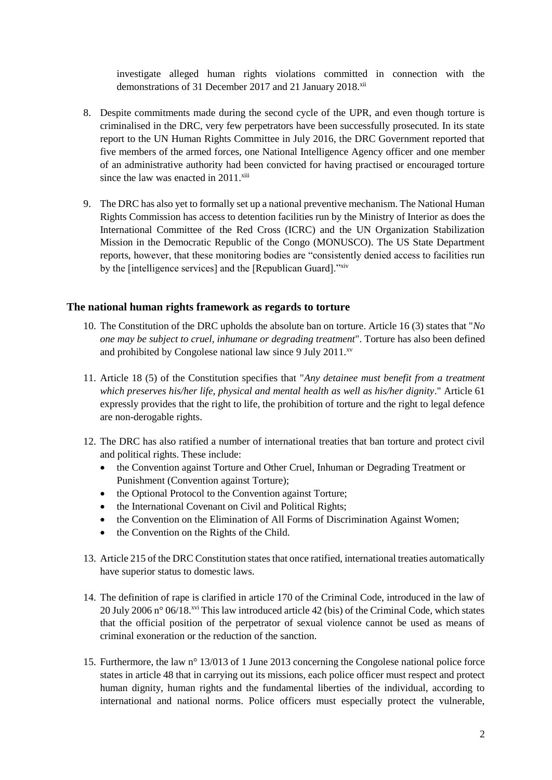investigate alleged human rights violations committed in connection with the demonstrations of 31 December 2017 and 21 January 2018.<sup>xii</sup>

- 8. Despite commitments made during the second cycle of the UPR, and even though torture is criminalised in the DRC, very few perpetrators have been successfully prosecuted. In its state report to the UN Human Rights Committee in July 2016, the DRC Government reported that five members of the armed forces, one National Intelligence Agency officer and one member of an administrative authority had been convicted for having practised or encouraged torture since the law was enacted in  $2011$ <sup>xiii</sup>
- 9. The DRC has also yet to formally set up a national preventive mechanism. The National Human Rights Commission has access to detention facilities run by the Ministry of Interior as does the International Committee of the Red Cross (ICRC) and the UN Organization Stabilization Mission in the Democratic Republic of the Congo (MONUSCO). The US State Department reports, however, that these monitoring bodies are "consistently denied access to facilities run by the [intelligence services] and the [Republican Guard]."xiv

### **The national human rights framework as regards to torture**

- 10. The Constitution of the DRC upholds the absolute ban on torture. Article 16 (3) states that "*No one may be subject to cruel, inhumane or degrading treatment*". Torture has also been defined and prohibited by Congolese national law since 9 July 2011. $^{xy}$
- 11. Article 18 (5) of the Constitution specifies that "*Any detainee must benefit from a treatment which preserves his/her life, physical and mental health as well as his/her dignity*." Article 61 expressly provides that the right to life, the prohibition of torture and the right to legal defence are non-derogable rights.
- 12. The DRC has also ratified a number of international treaties that ban torture and protect civil and political rights. These include:
	- the Convention against Torture and Other Cruel, Inhuman or Degrading Treatment or Punishment (Convention against Torture);
	- the Optional Protocol to the Convention against Torture;
	- the International Covenant on Civil and Political Rights;
	- the Convention on the Elimination of All Forms of Discrimination Against Women;
	- the Convention on the Rights of the Child.
- 13. Article 215 of the DRC Constitution states that once ratified, international treaties automatically have superior status to domestic laws.
- 14. The definition of rape is clarified in article 170 of the Criminal Code, introduced in the law of 20 July 2006 n° 06/18.xvi This law introduced article 42 (bis) of the Criminal Code, which states that the official position of the perpetrator of sexual violence cannot be used as means of criminal exoneration or the reduction of the sanction.
- 15. Furthermore, the law n° 13/013 of 1 June 2013 concerning the Congolese national police force states in article 48 that in carrying out its missions, each police officer must respect and protect human dignity, human rights and the fundamental liberties of the individual, according to international and national norms. Police officers must especially protect the vulnerable,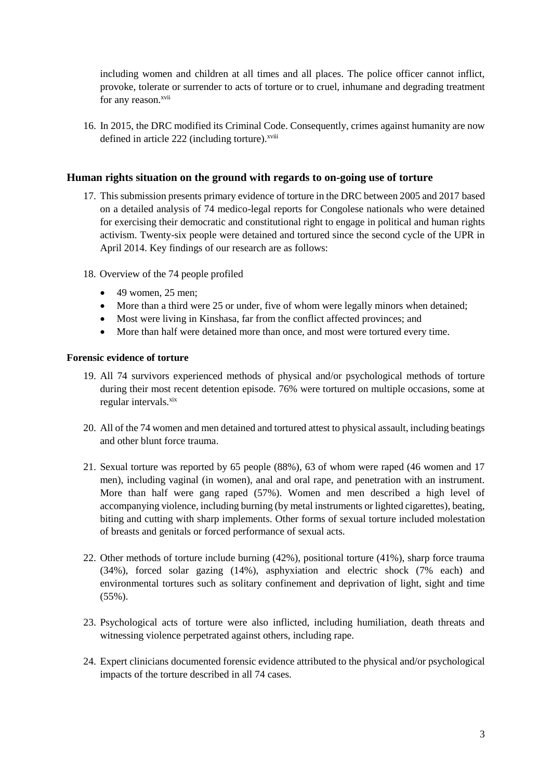including women and children at all times and all places. The police officer cannot inflict, provoke, tolerate or surrender to acts of torture or to cruel, inhumane and degrading treatment for any reason.<sup>xvii</sup>

16. In 2015, the DRC modified its Criminal Code. Consequently, crimes against humanity are now defined in article 222 (including torture).<sup>xviii</sup>

## **Human rights situation on the ground with regards to on-going use of torture**

- 17. This submission presents primary evidence of torture in the DRC between 2005 and 2017 based on a detailed analysis of 74 medico-legal reports for Congolese nationals who were detained for exercising their democratic and constitutional right to engage in political and human rights activism. Twenty-six people were detained and tortured since the second cycle of the UPR in April 2014. Key findings of our research are as follows:
- 18. Overview of the 74 people profiled
	- $\bullet$  49 women, 25 men;
	- More than a third were 25 or under, five of whom were legally minors when detained;
	- Most were living in Kinshasa, far from the conflict affected provinces; and
	- More than half were detained more than once, and most were tortured every time.

#### **Forensic evidence of torture**

- 19. All 74 survivors experienced methods of physical and/or psychological methods of torture during their most recent detention episode. 76% were tortured on multiple occasions, some at regular intervals.<sup>xix</sup>
- 20. All of the 74 women and men detained and tortured attest to physical assault, including beatings and other blunt force trauma.
- 21. Sexual torture was reported by 65 people (88%), 63 of whom were raped (46 women and 17 men), including vaginal (in women), anal and oral rape, and penetration with an instrument. More than half were gang raped (57%). Women and men described a high level of accompanying violence, including burning (by metal instruments or lighted cigarettes), beating, biting and cutting with sharp implements. Other forms of sexual torture included molestation of breasts and genitals or forced performance of sexual acts.
- 22. Other methods of torture include burning (42%), positional torture (41%), sharp force trauma (34%), forced solar gazing (14%), asphyxiation and electric shock (7% each) and environmental tortures such as solitary confinement and deprivation of light, sight and time (55%).
- 23. Psychological acts of torture were also inflicted, including humiliation, death threats and witnessing violence perpetrated against others, including rape.
- 24. Expert clinicians documented forensic evidence attributed to the physical and/or psychological impacts of the torture described in all 74 cases.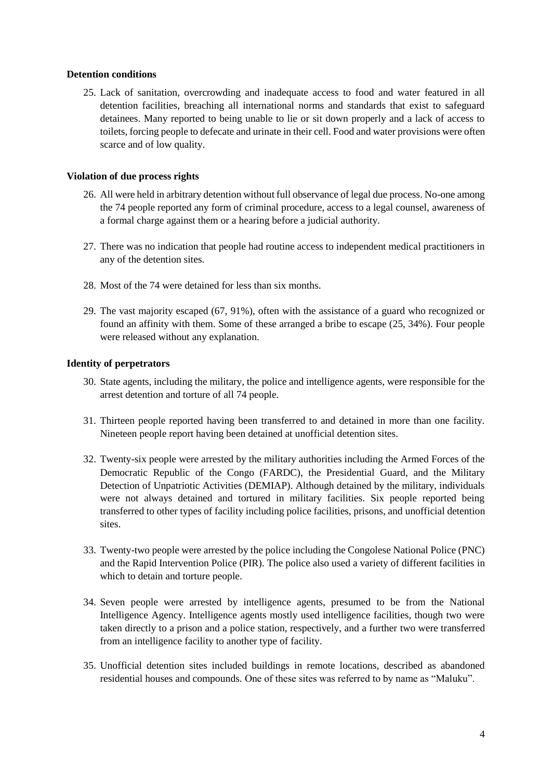## **Detention conditions**

25. Lack of sanitation, overcrowding and inadequate access to food and water featured in all detention facilities, breaching all international norms and standards that exist to safeguard detainees. Many reported to being unable to lie or sit down properly and a lack of access to toilets, forcing people to defecate and urinate in their cell. Food and water provisions were often scarce and of low quality.

### **Violation of due process rights**

- 26. All were held in arbitrary detention without full observance of legal due process. No-one among the 74 people reported any form of criminal procedure, access to a legal counsel, awareness of a formal charge against them or a hearing before a judicial authority.
- 27. There was no indication that people had routine access to independent medical practitioners in any of the detention sites.
- 28. Most of the 74 were detained for less than six months.
- 29. The vast majority escaped (67, 91%), often with the assistance of a guard who recognized or found an affinity with them. Some of these arranged a bribe to escape (25, 34%). Four people were released without any explanation.

## **Identity of perpetrators**

- 30. State agents, including the military, the police and intelligence agents, were responsible for the arrest detention and torture of all 74 people.
- 31. Thirteen people reported having been transferred to and detained in more than one facility. Nineteen people report having been detained at unofficial detention sites.
- 32. Twenty-six people were arrested by the military authorities including the Armed Forces of the Democratic Republic of the Congo (FARDC), the Presidential Guard, and the Military Detection of Unpatriotic Activities (DEMIAP). Although detained by the military, individuals were not always detained and tortured in military facilities. Six people reported being transferred to other types of facility including police facilities, prisons, and unofficial detention sites.
- 33. Twenty-two people were arrested by the police including the Congolese National Police (PNC) and the Rapid Intervention Police (PIR). The police also used a variety of different facilities in which to detain and torture people.
- 34. Seven people were arrested by intelligence agents, presumed to be from the National Intelligence Agency. Intelligence agents mostly used intelligence facilities, though two were taken directly to a prison and a police station, respectively, and a further two were transferred from an intelligence facility to another type of facility.
- 35. Unofficial detention sites included buildings in remote locations, described as abandoned residential houses and compounds. One of these sites was referred to by name as "Maluku".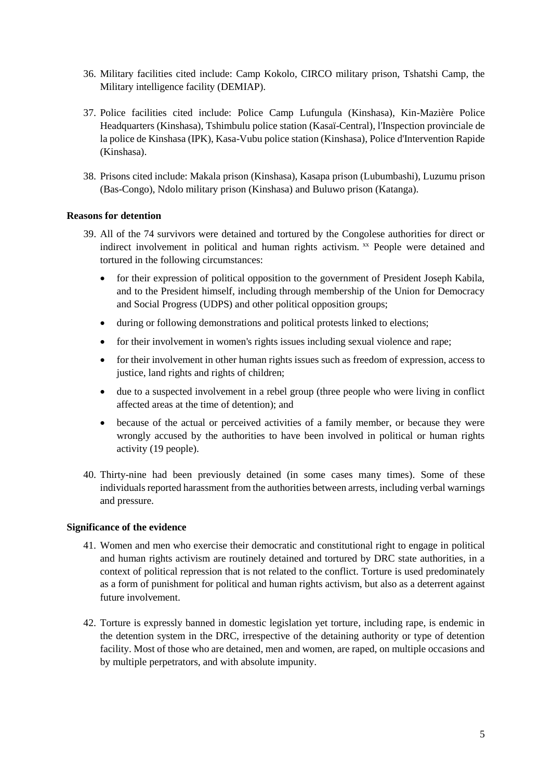- 36. Military facilities cited include: Camp Kokolo, CIRCO military prison, Tshatshi Camp, the Military intelligence facility (DEMIAP).
- 37. Police facilities cited include: Police Camp Lufungula (Kinshasa), Kin-Mazière Police Headquarters (Kinshasa), Tshimbulu police station (Kasaï-Central), l'Inspection provinciale de la police de Kinshasa (IPK), Kasa-Vubu police station (Kinshasa), Police d'Intervention Rapide (Kinshasa).
- 38. Prisons cited include: Makala prison (Kinshasa), Kasapa prison (Lubumbashi), Luzumu prison (Bas-Congo), Ndolo military prison (Kinshasa) and Buluwo prison (Katanga).

#### **Reasons for detention**

- 39. All of the 74 survivors were detained and tortured by the Congolese authorities for direct or indirect involvement in political and human rights activism. xx People were detained and tortured in the following circumstances:
	- for their expression of political opposition to the government of President Joseph Kabila, and to the President himself, including through membership of the Union for Democracy and Social Progress (UDPS) and other political opposition groups;
	- during or following demonstrations and political protests linked to elections;
	- for their involvement in women's rights issues including sexual violence and rape;
	- for their involvement in other human rights issues such as freedom of expression, access to justice, land rights and rights of children;
	- due to a suspected involvement in a rebel group (three people who were living in conflict affected areas at the time of detention); and
	- because of the actual or perceived activities of a family member, or because they were wrongly accused by the authorities to have been involved in political or human rights activity (19 people).
- 40. Thirty-nine had been previously detained (in some cases many times). Some of these individuals reported harassment from the authorities between arrests, including verbal warnings and pressure.

#### **Significance of the evidence**

- 41. Women and men who exercise their democratic and constitutional right to engage in political and human rights activism are routinely detained and tortured by DRC state authorities, in a context of political repression that is not related to the conflict. Torture is used predominately as a form of punishment for political and human rights activism, but also as a deterrent against future involvement.
- 42. Torture is expressly banned in domestic legislation yet torture, including rape, is endemic in the detention system in the DRC, irrespective of the detaining authority or type of detention facility. Most of those who are detained, men and women, are raped, on multiple occasions and by multiple perpetrators, and with absolute impunity.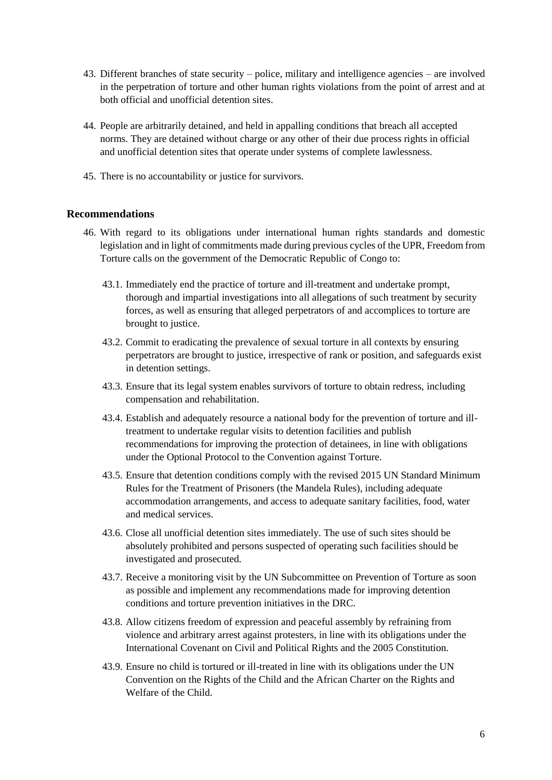- 43. Different branches of state security police, military and intelligence agencies are involved in the perpetration of torture and other human rights violations from the point of arrest and at both official and unofficial detention sites.
- 44. People are arbitrarily detained, and held in appalling conditions that breach all accepted norms. They are detained without charge or any other of their due process rights in official and unofficial detention sites that operate under systems of complete lawlessness.
- 45. There is no accountability or justice for survivors.

# **Recommendations**

- 46. With regard to its obligations under international human rights standards and domestic legislation and in light of commitments made during previous cycles of the UPR, Freedom from Torture calls on the government of the Democratic Republic of Congo to:
	- 43.1. Immediately end the practice of torture and ill-treatment and undertake prompt, thorough and impartial investigations into all allegations of such treatment by security forces, as well as ensuring that alleged perpetrators of and accomplices to torture are brought to justice.
	- 43.2. Commit to eradicating the prevalence of sexual torture in all contexts by ensuring perpetrators are brought to justice, irrespective of rank or position, and safeguards exist in detention settings.
	- 43.3. Ensure that its legal system enables survivors of torture to obtain redress, including compensation and rehabilitation.
	- 43.4. Establish and adequately resource a national body for the prevention of torture and illtreatment to undertake regular visits to detention facilities and publish recommendations for improving the protection of detainees, in line with obligations under the Optional Protocol to the Convention against Torture.
	- 43.5. Ensure that detention conditions comply with the revised 2015 UN Standard Minimum Rules for the Treatment of Prisoners (the Mandela Rules), including adequate accommodation arrangements, and access to adequate sanitary facilities, food, water and medical services.
	- 43.6. Close all unofficial detention sites immediately. The use of such sites should be absolutely prohibited and persons suspected of operating such facilities should be investigated and prosecuted.
	- 43.7. Receive a monitoring visit by the UN Subcommittee on Prevention of Torture as soon as possible and implement any recommendations made for improving detention conditions and torture prevention initiatives in the DRC.
	- 43.8. Allow citizens freedom of expression and peaceful assembly by refraining from violence and arbitrary arrest against protesters, in line with its obligations under the International Covenant on Civil and Political Rights and the 2005 Constitution.
	- 43.9. Ensure no child is tortured or ill-treated in line with its obligations under the UN Convention on the Rights of the Child and the African Charter on the Rights and Welfare of the Child.